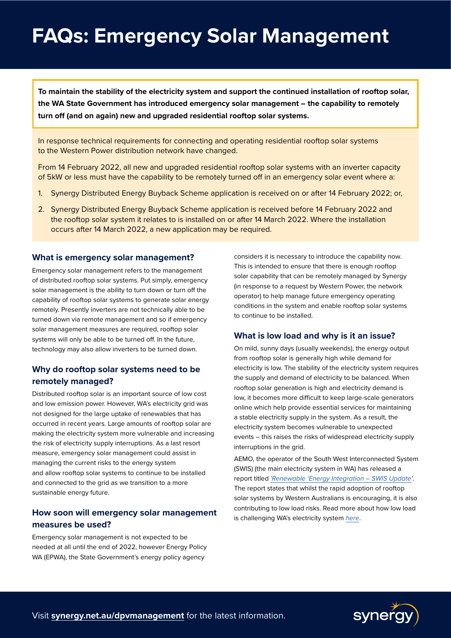# **FAQs: Emergency Solar Management**

**To maintain the stability of the electricity system and support the continued installation of rooftop solar, the WA State Government has introduced emergency solar management – the capability to remotely turn off (and on again) new and upgraded residential rooftop solar systems.** 

In response technical requirements for connecting and operating residential rooftop solar systems to the Western Power distribution network have changed.

From 14 February 2022, all new and upgraded residential rooftop solar systems with an inverter capacity of 5kW or less must have the capability to be remotely turned off in an emergency solar event where a:

- 1. Synergy Distributed Energy Buyback Scheme application is received on or after 14 February 2022; or,
- 2. Synergy Distributed Energy Buyback Scheme application is received before 14 February 2022 and the rooftop solar system it relates to is installed on or after 14 March 2022. Where the installation occurs after 14 March 2022, a new application may be required.

#### **What is emergency solar management?**

Emergency solar management refers to the management of distributed rooftop solar systems. Put simply, emergency solar management is the ability to turn down or turn off the capability of rooftop solar systems to generate solar energy remotely. Presently inverters are not technically able to be turned down via remote management and so if emergency solar management measures are required, rooftop solar systems will only be able to be turned off. In the future, technology may also allow inverters to be turned down.

### **Why do rooftop solar systems need to be remotely managed?**

Distributed rooftop solar is an important source of low cost and low emission power. However, WA's electricity grid was not designed for the large uptake of renewables that has occurred in recent years. Large amounts of rooftop solar are making the electricity system more vulnerable and increasing the risk of electricity supply interruptions. As a last resort measure, emergency solar management could assist in managing the current risks to the energy system and allow rooftop solar systems to continue to be installed and connected to the grid as we transition to a more sustainable energy future.

### **How soon will emergency solar management measures be used?**

Emergency solar management is not expected to be needed at all until the end of 2022, however Energy Policy WA (EPWA), the State Government's energy policy agency

considers it is necessary to introduce the capability now. This is intended to ensure that there is enough rooftop solar capability that can be remotely managed by Synergy (in response to a request by Western Power, the network operator) to help manage future emergency operating conditions in the system and enable rooftop solar systems to continue to be installed.

#### **What is low load and why is it an issue?**

On mild, sunny days (usually weekends), the energy output from rooftop solar is generally high while demand for electricity is low. The stability of the electricity system requires the supply and demand of electricity to be balanced. When rooftop solar generation is high and electricity demand is low, it becomes more difficult to keep large-scale generators online which help provide essential services for maintaining a stable electricity supply in the system. As a result, the electricity system becomes vulnerable to unexpected events – this raises the risks of widespread electricity supply interruptions in the grid.

AEMO, the operator of the South West Interconnected System (SWIS) (the main electricity system in WA) has released a report titled *'Renewable '[Energy Integration – SWIS Update](https://www.aemo.com.au/energy-systems/electricity/wholesale-electricity-market-wem/system-operations/integrating-utility-scale-renewables-and-distributed-energy-resources-in-the-swis)'*. The report states that whilst the rapid adoption of rooftop solar systems by Western Australians is encouraging, it is also contributing to low load risks. Read more about how low load is challenging WA's electricity system *[here](https://www.synergy.net.au/Our-energy/Blog/2021/10/How-low-load-is-challenging-WAs-energy-system)*.

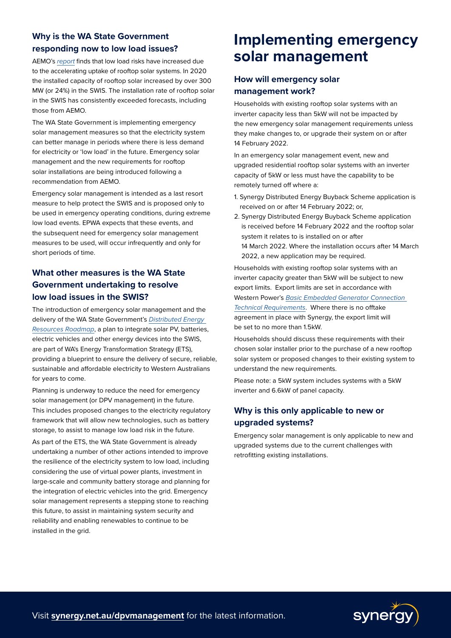## **Why is the WA State Government responding now to low load issues?**

AEMO's *[report](https://www.aemo.com.au/energy-systems/electricity/wholesale-electricity-market-wem/system-operations/integrating-utility-scale-renewables-and-distributed-energy-resources-in-the-swis)* finds that low load risks have increased due to the accelerating uptake of rooftop solar systems. In 2020 the installed capacity of rooftop solar increased by over 300 MW (or 24%) in the SWIS. The installation rate of rooftop solar in the SWIS has consistently exceeded forecasts, including those from AEMO.

The WA State Government is implementing emergency solar management measures so that the electricity system can better manage in periods where there is less demand for electricity or 'low load' in the future. Emergency solar management and the new requirements for rooftop solar installations are being introduced following a recommendation from AEMO.

Emergency solar management is intended as a last resort measure to help protect the SWIS and is proposed only to be used in emergency operating conditions, during extreme low load events. EPWA expects that these events, and the subsequent need for emergency solar management measures to be used, will occur infrequently and only for short periods of time.

### **What other measures is the WA State Government undertaking to resolve low load issues in the SWIS?**

The introduction of emergency solar management and the delivery of the WA State Government's *[Distributed Energy](https://www.synergy.net.au/Our-energy/Blog/2021/10/The-DER-Roadmap-to-WAs-energy-future)  [Resources Roadmap](https://www.synergy.net.au/Our-energy/Blog/2021/10/The-DER-Roadmap-to-WAs-energy-future)*, a plan to integrate solar PV, batteries, electric vehicles and other energy devices into the SWIS, are part of WA's Energy Transformation Strategy (ETS), providing a blueprint to ensure the delivery of secure, reliable, sustainable and affordable electricity to Western Australians for years to come.

Planning is underway to reduce the need for emergency solar management (or DPV management) in the future. This includes proposed changes to the electricity regulatory framework that will allow new technologies, such as battery storage, to assist to manage low load risk in the future.

As part of the ETS, the WA State Government is already undertaking a number of other actions intended to improve the resilience of the electricity system to low load, including considering the use of virtual power plants, investment in large-scale and community battery storage and planning for the integration of electric vehicles into the grid. Emergency solar management represents a stepping stone to reaching this future, to assist in maintaining system security and reliability and enabling renewables to continue to be installed in the grid.

# **Implementing emergency solar management**

### **How will emergency solar management work?**

Households with existing rooftop solar systems with an inverter capacity less than 5kW will not be impacted by the new emergency solar management requirements unless they make changes to, or upgrade their system on or after 14 February 2022.

In an emergency solar management event, new and upgraded residential rooftop solar systems with an inverter capacity of 5kW or less must have the capability to be remotely turned off where a:

- 1. Synergy Distributed Energy Buyback Scheme application is received on or after 14 February 2022; or,
- 2. Synergy Distributed Energy Buyback Scheme application is received before 14 February 2022 and the rooftop solar system it relates to is installed on or after 14 March 2022. Where the installation occurs after 14 March 2022, a new application may be required.

Households with existing rooftop solar systems with an inverter capacity greater than 5kW will be subject to new export limits. Export limits are set in accordance with Western Power's *[Basic Embedded Generator Connection](https://www.westernpower.com.au/industry/manuals-guides-standards/basic-embedded-generation-connection-technical-requirements/)  [Technical Requirements](https://www.westernpower.com.au/industry/manuals-guides-standards/basic-embedded-generation-connection-technical-requirements/)*. Where there is no offtake agreement in place with Synergy, the export limit will be set to no more than 1.5kW.

Households should discuss these requirements with their chosen solar installer prior to the purchase of a new rooftop solar system or proposed changes to their existing system to understand the new requirements.

Please note: a 5kW system includes systems with a 5kW inverter and 6.6kW of panel capacity.

### **Why is this only applicable to new or upgraded systems?**

Emergency solar management is only applicable to new and upgraded systems due to the current challenges with retrofitting existing installations.

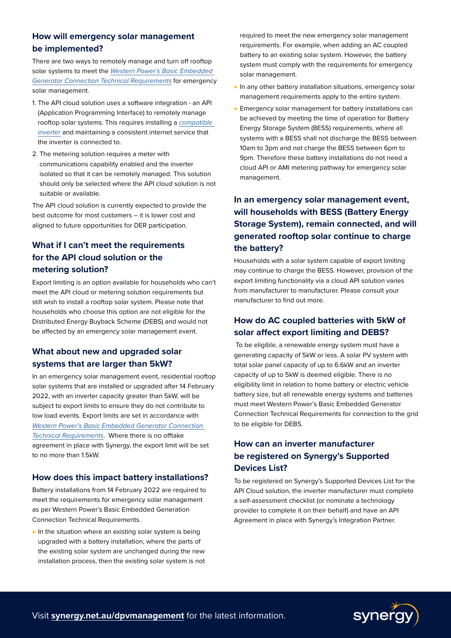### **How will emergency solar management be implemented?**

There are two ways to remotely manage and turn off rooftop solar systems to meet the *[Western Power's Basic Embedded](https://www.westernpower.com.au/industry/manuals-guides-standards/basic-embedded-generation-connection-technical-requirements/)  [Generator Connection Technical Requirements](https://www.westernpower.com.au/industry/manuals-guides-standards/basic-embedded-generation-connection-technical-requirements/)* for emergency solar management.

- 1. The API cloud solution uses a software integration an API (Application Programming Interface) to remotely manage rooftop solar systems. This requires installing a *[compatible](https://www.synergy.net.au/-/media/Documents/Supplier/Synergy---Supported-Devices-List.pdf)  [inverter](https://www.synergy.net.au/-/media/Documents/Supplier/Synergy---Supported-Devices-List.pdf)* and maintaining a consistent internet service that the inverter is connected to.
- 2. The [metering solution](https://www.synergy.net.au/global/ESM-solar-industry) requires a meter with communications capability enabled and the inverter isolated so that it can be remotely managed. This solution should only be selected where the API cloud solution is not suitable or available.

The API cloud solution is currently expected to provide the best outcome for most customers – it is lower cost and aligned to future opportunities for DER participation.

### **What if I can't meet the requirements for the API cloud solution or the metering solution?**

Export limiting is an option available for households who can't meet the API cloud or metering solution requirements but still wish to install a rooftop solar system. Please note that households who choose this option are not eligible for the Distributed Energy Buyback Scheme (DEBS) and would not be affected by an emergency solar management event.

### **What about new and upgraded solar systems that are larger than 5kW?**

In an emergency solar management event, residential rooftop solar systems that are installed or upgraded after 14 February 2022, with an inverter capacity greater than 5kW, will be subject to export limits to ensure they do not contribute to low load events. Export limits are set in accordance with *[Western Power's Basic Embedded Generator Connection](https://www.westernpower.com.au/industry/manuals-guides-standards/basic-embedded-generation-connection-technical-requirements/)  [Technical Requirements](https://www.westernpower.com.au/industry/manuals-guides-standards/basic-embedded-generation-connection-technical-requirements/)*. Where there is no offtake agreement in place with Synergy, the export limit will be set to no more than 1.5kW.

### **How does this impact battery installations?**

Battery installations from 14 February 2022 are required to meet the requirements for emergency solar management as per Western Power's Basic Embedded Generation Connection Technical Requirements.

 $\triangleright$  In the situation where an existing solar system is being upgraded with a battery installation, where the parts of the existing solar system are unchanged during the new installation process, then the existing solar system is not required to meet the new emergency solar management requirements. For example, when adding an AC coupled battery to an existing solar system. However, the battery system must comply with the requirements for emergency solar management.

- ▶ In any other battery installation situations, emergency solar management requirements apply to the entire system.
- $\blacktriangleright$  Emergency solar management for battery installations can be achieved by meeting the time of operation for Battery Energy Storage System (BESS) requirements, where all systems with a BESS shall not discharge the BESS between 10am to 3pm and not charge the BESS between 6pm to 9pm. Therefore these battery installations do not need a cloud API or AMI metering pathway for emergency solar management.

### **In an emergency solar management event, will households with BESS (Battery Energy Storage System), remain connected, and will generated rooftop solar continue to charge the battery?**

Households with a solar system capable of export limiting may continue to charge the BESS. However, provision of the export limiting functionality via a cloud API solution varies from manufacturer to manufacturer. Please consult your manufacturer to find out more.

### **How do AC coupled batteries with 5kW of solar affect export limiting and DEBS?**

 To be eligible, a renewable energy system must have a generating capacity of 5kW or less. A solar PV system with total solar panel capacity of up to 6.6kW and an inverter capacity of up to 5kW is deemed eligible. There is no eligibility limit in relation to home battery or electric vehicle battery size, but all renewable energy systems and batteries must meet Western Power's Basic Embedded Generator Connection Technical Requirements for connection to the grid to be eligible for DEBS.

### **How can an inverter manufacturer be registered on Synergy's Supported Devices List?**

To be registered on Synergy's Supported Devices List for the API Cloud solution, the inverter manufacturer must complete a self-assessment checklist (or nominate a technology provider to complete it on their behalf) and have an API Agreement in place with Synergy's Integration Partner.

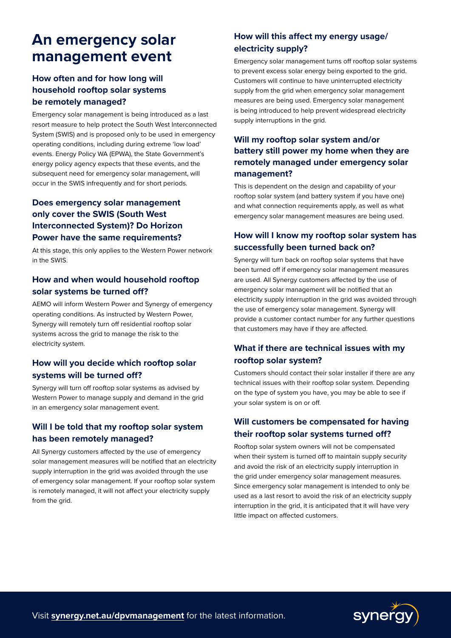# **An emergency solar management event**

### **How often and for how long will household rooftop solar systems be remotely managed?**

Emergency solar management is being introduced as a last resort measure to help protect the South West Interconnected System (SWIS) and is proposed only to be used in emergency operating conditions, including during extreme 'low load' events. Energy Policy WA (EPWA), the State Government's energy policy agency expects that these events, and the subsequent need for emergency solar management, will occur in the SWIS infrequently and for short periods.

### **Does emergency solar management only cover the SWIS (South West Interconnected System)? Do Horizon Power have the same requirements?**

At this stage, this only applies to the Western Power network in the SWIS.

### **How and when would household rooftop solar systems be turned off?**

AEMO will inform Western Power and Synergy of emergency operating conditions. As instructed by Western Power, Synergy will remotely turn off residential rooftop solar systems across the grid to manage the risk to the electricity system.

### **How will you decide which rooftop solar systems will be turned off?**

Synergy will turn off rooftop solar systems as advised by Western Power to manage supply and demand in the grid in an emergency solar management event.

### **Will I be told that my rooftop solar system has been remotely managed?**

All Synergy customers affected by the use of emergency solar management measures will be notified that an electricity supply interruption in the grid was avoided through the use of emergency solar management. If your rooftop solar system is remotely managed, it will not affect your electricity supply from the grid.

## **How will this affect my energy usage/ electricity supply?**

Emergency solar management turns off rooftop solar systems to prevent excess solar energy being exported to the grid. Customers will continue to have uninterrupted electricity supply from the grid when emergency solar management measures are being used. Emergency solar management is being introduced to help prevent widespread electricity supply interruptions in the grid.

### **Will my rooftop solar system and/or battery still power my home when they are remotely managed under emergency solar management?**

This is dependent on the design and capability of your rooftop solar system (and battery system if you have one) and what connection requirements apply, as well as what emergency solar management measures are being used.

## **How will I know my rooftop solar system has successfully been turned back on?**

Synergy will turn back on rooftop solar systems that have been turned off if emergency solar management measures are used. All Synergy customers affected by the use of emergency solar management will be notified that an electricity supply interruption in the grid was avoided through the use of emergency solar management. Synergy will provide a customer contact number for any further questions that customers may have if they are affected.

### **What if there are technical issues with my rooftop solar system?**

Customers should contact their solar installer if there are any technical issues with their rooftop solar system. Depending on the type of system you have, you may be able to see if your solar system is on or off.

### **Will customers be compensated for having their rooftop solar systems turned off?**

Rooftop solar system owners will not be compensated when their system is turned off to maintain supply security and avoid the risk of an electricity supply interruption in the grid under emergency solar management measures. Since emergency solar management is intended to only be used as a last resort to avoid the risk of an electricity supply interruption in the grid, it is anticipated that it will have very little impact on affected customers.